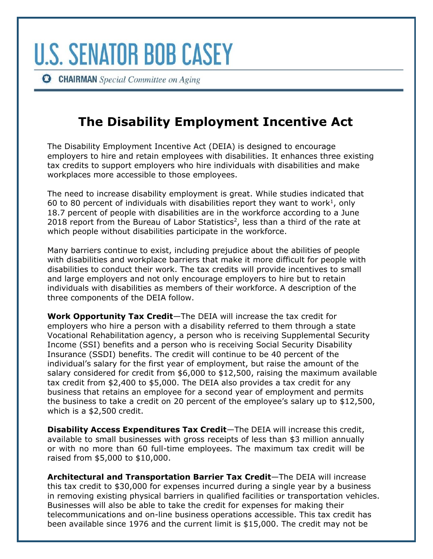**CHAIRMAN** Special Committee on Aging

## **The Disability Employment Incentive Act**

The Disability Employment Incentive Act (DEIA) is designed to encourage employers to hire and retain employees with disabilities. It enhances three existing tax credits to support employers who hire individuals with disabilities and make workplaces more accessible to those employees.

The need to increase disability employment is great. While studies indicated that 60 to 80 percent of individuals with disabilities report they want to work<sup>1</sup>, only 18.7 percent of people with disabilities are in the workforce according to a June 2018 report from the Bureau of Labor Statistics<sup>2</sup>, less than a third of the rate at which people without disabilities participate in the workforce.

Many barriers continue to exist, including prejudice about the abilities of people with disabilities and workplace barriers that make it more difficult for people with disabilities to conduct their work. The tax credits will provide incentives to small and large employers and not only encourage employers to hire but to retain individuals with disabilities as members of their workforce. A description of the three components of the DEIA follow.

**Work Opportunity Tax Credit**—The DEIA will increase the tax credit for employers who hire a person with a disability referred to them through a state Vocational Rehabilitation agency, a person who is receiving Supplemental Security Income (SSI) benefits and a person who is receiving Social Security Disability Insurance (SSDI) benefits. The credit will continue to be 40 percent of the individual's salary for the first year of employment, but raise the amount of the salary considered for credit from \$6,000 to \$12,500, raising the maximum available tax credit from \$2,400 to \$5,000. The DEIA also provides a tax credit for any business that retains an employee for a second year of employment and permits the business to take a credit on 20 percent of the employee's salary up to \$12,500, which is a \$2,500 credit.

**Disability Access Expenditures Tax Credit**—The DEIA will increase this credit, available to small businesses with gross receipts of less than \$3 million annually or with no more than 60 full-time employees. The maximum tax credit will be raised from \$5,000 to \$10,000.

**Architectural and Transportation Barrier Tax Credit**—The DEIA will increase this tax credit to \$30,000 for expenses incurred during a single year by a business in removing existing physical barriers in qualified facilities or transportation vehicles. Businesses will also be able to take the credit for expenses for making their telecommunications and on-line business operations accessible. This tax credit has been available since 1976 and the current limit is \$15,000. The credit may not be